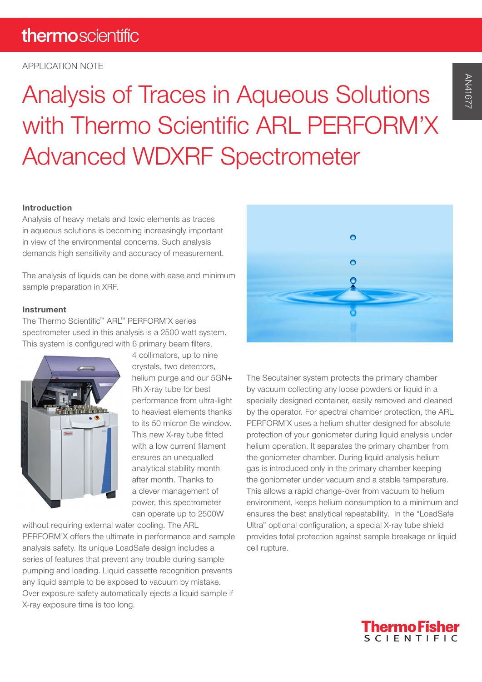## thermoscientific

#### APPLICATION NOTE

# Analysis of Traces in Aqueous Solutions with Thermo Scientific ARL PERFORM'X Advanced WDXRF Spectrometer

#### Introduction

Analysis of heavy metals and toxic elements as traces in aqueous solutions is becoming increasingly important in view of the environmental concerns. Such analysis demands high sensitivity and accuracy of measurement.

The analysis of liquids can be done with ease and minimum sample preparation in XRF.

#### Instrument

The Thermo Scientific™ ARL™ PERFORM'X series spectrometer used in this analysis is a 2500 watt system. This system is configured with 6 primary beam filters,



4 collimators, up to nine crystals, two detectors, helium purge and our 5GN+ Rh X-ray tube for best performance from ultra-light to heaviest elements thanks to its 50 micron Be window. This new X-ray tube fitted with a low current filament ensures an unequalled analytical stability month after month. Thanks to a clever management of power, this spectrometer can operate up to 2500W

without requiring external water cooling. The ARL PERFORM'X offers the ultimate in performance and sample analysis safety. Its unique LoadSafe design includes a series of features that prevent any trouble during sample pumping and loading. Liquid cassette recognition prevents any liquid sample to be exposed to vacuum by mistake. Over exposure safety automatically ejects a liquid sample if X-ray exposure time is too long.



The Secutainer system protects the primary chamber by vacuum collecting any loose powders or liquid in a specially designed container, easily removed and cleaned by the operator. For spectral chamber protection, the ARL PERFORM'X uses a helium shutter designed for absolute protection of your goniometer during liquid analysis under helium operation. It separates the primary chamber from the goniometer chamber. During liquid analysis helium gas is introduced only in the primary chamber keeping the goniometer under vacuum and a stable temperature. This allows a rapid change-over from vacuum to helium environment, keeps helium consumption to a minimum and ensures the best analytical repeatability. In the "LoadSafe Ultra" optional configuration, a special X-ray tube shield provides total protection against sample breakage or liquid cell rupture.